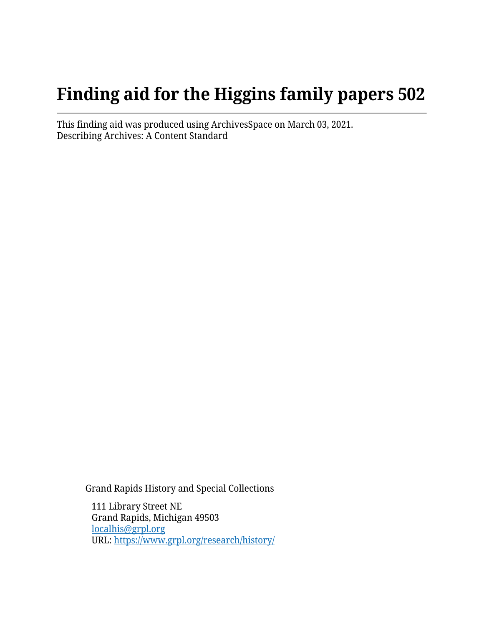# **Finding aid for the Higgins family papers 502**

This finding aid was produced using ArchivesSpace on March 03, 2021. Describing Archives: A Content Standard

Grand Rapids History and Special Collections

111 Library Street NE Grand Rapids, Michigan 49503 [localhis@grpl.org](mailto:localhis@grpl.org) URL:<https://www.grpl.org/research/history/>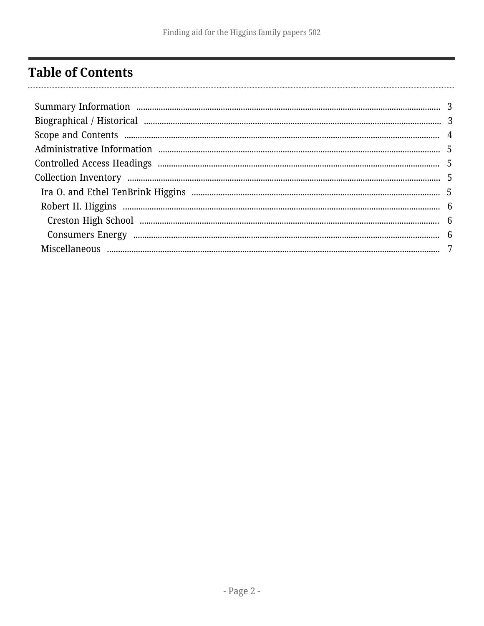# <span id="page-1-0"></span>**Table of Contents**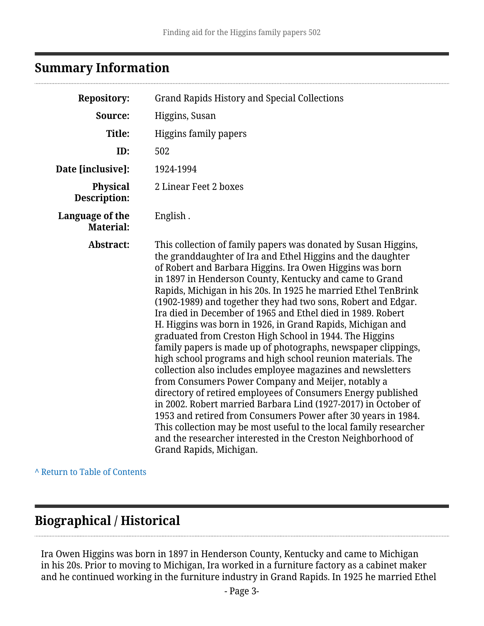## <span id="page-2-0"></span>**Summary Information**

| <b>Repository:</b>                  | <b>Grand Rapids History and Special Collections</b>                                                                                                                                                                                                                                                                                                                                                                                                                                                                                                                                                                                                                                                                                                                                                                                                                                                                                                                                                                                                                                                                                                                                                     |  |  |
|-------------------------------------|---------------------------------------------------------------------------------------------------------------------------------------------------------------------------------------------------------------------------------------------------------------------------------------------------------------------------------------------------------------------------------------------------------------------------------------------------------------------------------------------------------------------------------------------------------------------------------------------------------------------------------------------------------------------------------------------------------------------------------------------------------------------------------------------------------------------------------------------------------------------------------------------------------------------------------------------------------------------------------------------------------------------------------------------------------------------------------------------------------------------------------------------------------------------------------------------------------|--|--|
| Source:                             | Higgins, Susan                                                                                                                                                                                                                                                                                                                                                                                                                                                                                                                                                                                                                                                                                                                                                                                                                                                                                                                                                                                                                                                                                                                                                                                          |  |  |
| Title:                              | Higgins family papers                                                                                                                                                                                                                                                                                                                                                                                                                                                                                                                                                                                                                                                                                                                                                                                                                                                                                                                                                                                                                                                                                                                                                                                   |  |  |
| ID:                                 | 502                                                                                                                                                                                                                                                                                                                                                                                                                                                                                                                                                                                                                                                                                                                                                                                                                                                                                                                                                                                                                                                                                                                                                                                                     |  |  |
| Date [inclusive]:                   | 1924-1994                                                                                                                                                                                                                                                                                                                                                                                                                                                                                                                                                                                                                                                                                                                                                                                                                                                                                                                                                                                                                                                                                                                                                                                               |  |  |
| <b>Physical</b><br>Description:     | 2 Linear Feet 2 boxes                                                                                                                                                                                                                                                                                                                                                                                                                                                                                                                                                                                                                                                                                                                                                                                                                                                                                                                                                                                                                                                                                                                                                                                   |  |  |
| Language of the<br><b>Material:</b> | English.                                                                                                                                                                                                                                                                                                                                                                                                                                                                                                                                                                                                                                                                                                                                                                                                                                                                                                                                                                                                                                                                                                                                                                                                |  |  |
| Abstract:                           | This collection of family papers was donated by Susan Higgins,<br>the granddaughter of Ira and Ethel Higgins and the daughter<br>of Robert and Barbara Higgins. Ira Owen Higgins was born<br>in 1897 in Henderson County, Kentucky and came to Grand<br>Rapids, Michigan in his 20s. In 1925 he married Ethel TenBrink<br>(1902-1989) and together they had two sons, Robert and Edgar.<br>Ira died in December of 1965 and Ethel died in 1989. Robert<br>H. Higgins was born in 1926, in Grand Rapids, Michigan and<br>graduated from Creston High School in 1944. The Higgins<br>family papers is made up of photographs, newspaper clippings,<br>high school programs and high school reunion materials. The<br>collection also includes employee magazines and newsletters<br>from Consumers Power Company and Meijer, notably a<br>directory of retired employees of Consumers Energy published<br>in 2002. Robert married Barbara Lind (1927-2017) in October of<br>1953 and retired from Consumers Power after 30 years in 1984.<br>This collection may be most useful to the local family researcher<br>and the researcher interested in the Creston Neighborhood of<br>Grand Rapids, Michigan. |  |  |

**^** [Return to Table of Contents](#page-1-0)

# <span id="page-2-1"></span>**Biographical / Historical**

Ira Owen Higgins was born in 1897 in Henderson County, Kentucky and came to Michigan in his 20s. Prior to moving to Michigan, Ira worked in a furniture factory as a cabinet maker and he continued working in the furniture industry in Grand Rapids. In 1925 he married Ethel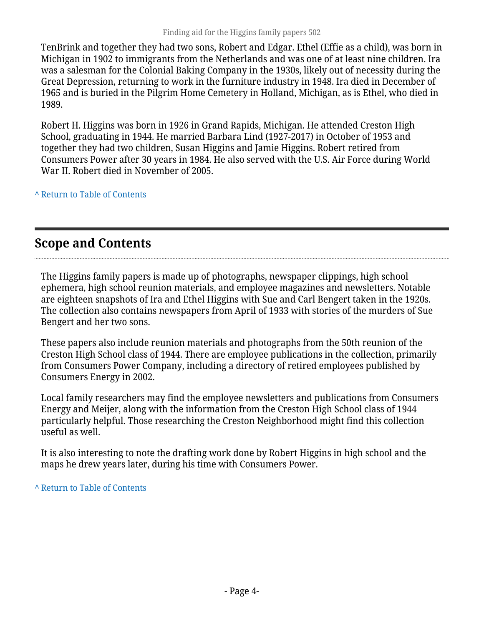TenBrink and together they had two sons, Robert and Edgar. Ethel (Effie as a child), was born in Michigan in 1902 to immigrants from the Netherlands and was one of at least nine children. Ira was a salesman for the Colonial Baking Company in the 1930s, likely out of necessity during the Great Depression, returning to work in the furniture industry in 1948. Ira died in December of 1965 and is buried in the Pilgrim Home Cemetery in Holland, Michigan, as is Ethel, who died in 1989.

Robert H. Higgins was born in 1926 in Grand Rapids, Michigan. He attended Creston High School, graduating in 1944. He married Barbara Lind (1927-2017) in October of 1953 and together they had two children, Susan Higgins and Jamie Higgins. Robert retired from Consumers Power after 30 years in 1984. He also served with the U.S. Air Force during World War II. Robert died in November of 2005.

**^** [Return to Table of Contents](#page-1-0)

## <span id="page-3-0"></span>**Scope and Contents**

The Higgins family papers is made up of photographs, newspaper clippings, high school ephemera, high school reunion materials, and employee magazines and newsletters. Notable are eighteen snapshots of Ira and Ethel Higgins with Sue and Carl Bengert taken in the 1920s. The collection also contains newspapers from April of 1933 with stories of the murders of Sue Bengert and her two sons.

These papers also include reunion materials and photographs from the 50th reunion of the Creston High School class of 1944. There are employee publications in the collection, primarily from Consumers Power Company, including a directory of retired employees published by Consumers Energy in 2002.

Local family researchers may find the employee newsletters and publications from Consumers Energy and Meijer, along with the information from the Creston High School class of 1944 particularly helpful. Those researching the Creston Neighborhood might find this collection useful as well.

It is also interesting to note the drafting work done by Robert Higgins in high school and the maps he drew years later, during his time with Consumers Power.

**^** [Return to Table of Contents](#page-1-0)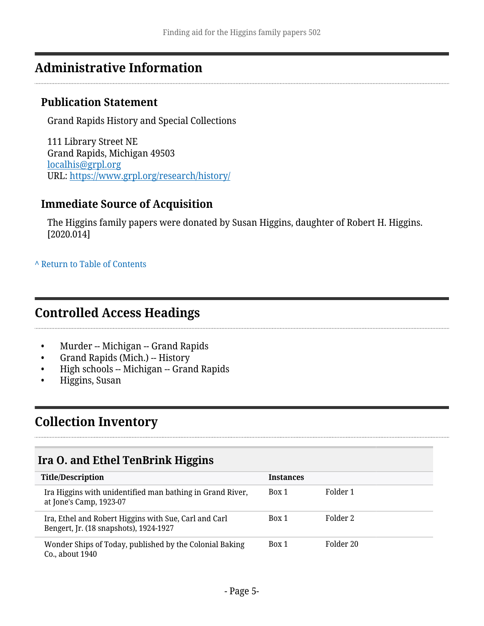# <span id="page-4-0"></span>**Administrative Information**

### **Publication Statement**

Grand Rapids History and Special Collections

111 Library Street NE Grand Rapids, Michigan 49503 [localhis@grpl.org](mailto:localhis@grpl.org) URL:<https://www.grpl.org/research/history/>

### **Immediate Source of Acquisition**

The Higgins family papers were donated by Susan Higgins, daughter of Robert H. Higgins. [2020.014]

#### **^** [Return to Table of Contents](#page-1-0)

## <span id="page-4-1"></span>**Controlled Access Headings**

- Murder -- Michigan -- Grand Rapids
- Grand Rapids (Mich.) -- History
- High schools -- Michigan -- Grand Rapids
- Higgins, Susan

# <span id="page-4-2"></span>**Collection Inventory**

## <span id="page-4-3"></span>**Ira O. and Ethel TenBrink Higgins**

| <b>Title/Description</b>                                                                        | <b>Instances</b> |           |
|-------------------------------------------------------------------------------------------------|------------------|-----------|
| Ira Higgins with unidentified man bathing in Grand River,<br>at Jone's Camp, 1923-07            | Box 1            | Folder 1  |
| Ira, Ethel and Robert Higgins with Sue, Carl and Carl<br>Bengert, Jr. (18 snapshots), 1924-1927 | Box 1            | Folder 2  |
| Wonder Ships of Today, published by the Colonial Baking<br>Co., about 1940                      | Box 1            | Folder 20 |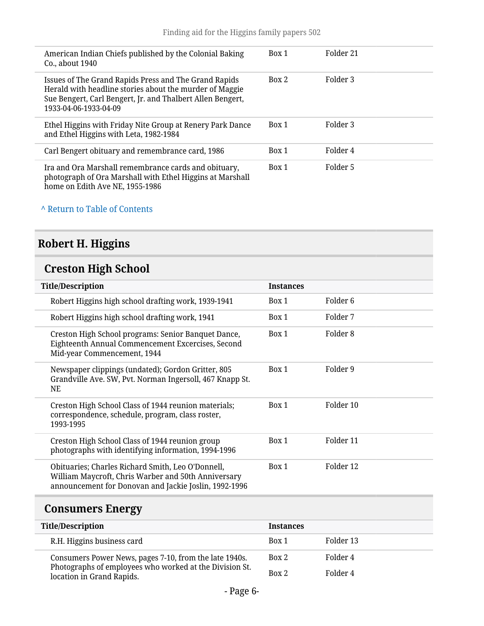| American Indian Chiefs published by the Colonial Baking<br>Co., about 1940                                                                                                                              | Box 1 | Folder 21 |
|---------------------------------------------------------------------------------------------------------------------------------------------------------------------------------------------------------|-------|-----------|
| Issues of The Grand Rapids Press and The Grand Rapids<br>Herald with headline stories about the murder of Maggie<br>Sue Bengert, Carl Bengert, Jr. and Thalbert Allen Bengert,<br>1933-04-06-1933-04-09 | Box 2 | Folder 3  |
| Ethel Higgins with Friday Nite Group at Renery Park Dance<br>and Ethel Higgins with Leta, 1982-1984                                                                                                     | Box 1 | Folder 3  |
| Carl Bengert obituary and remembrance card, 1986                                                                                                                                                        | Box 1 | Folder 4  |
| Ira and Ora Marshall remembrance cards and obituary,<br>photograph of Ora Marshall with Ethel Higgins at Marshall<br>home on Edith Ave NE, 1955-1986                                                    | Box 1 | Folder 5  |

#### **^** [Return to Table of Contents](#page-1-0)

# <span id="page-5-0"></span>**Robert H. Higgins**

# <span id="page-5-1"></span>**Creston High School**

| <b>Title/Description</b>                                                                                                                                          | <b>Instances</b> |                     |
|-------------------------------------------------------------------------------------------------------------------------------------------------------------------|------------------|---------------------|
| Robert Higgins high school drafting work, 1939-1941                                                                                                               | Box 1            | Folder <sub>6</sub> |
| Robert Higgins high school drafting work, 1941                                                                                                                    | Box 1            | Folder 7            |
| Creston High School programs: Senior Banquet Dance,<br>Eighteenth Annual Commencement Excercises, Second<br>Mid-year Commencement, 1944                           | Box 1            | Folder 8            |
| Newspaper clippings (undated); Gordon Gritter, 805<br>Grandville Ave. SW, Pvt. Norman Ingersoll, 467 Knapp St.<br><b>NE</b>                                       | Box 1            | Folder 9            |
| Creston High School Class of 1944 reunion materials;<br>correspondence, schedule, program, class roster,<br>1993-1995                                             | Box 1            | Folder 10           |
| Creston High School Class of 1944 reunion group<br>photographs with identifying information, 1994-1996                                                            | Box 1            | Folder 11           |
| Obituaries; Charles Richard Smith, Leo O'Donnell,<br>William Maycroft, Chris Warber and 50th Anniversary<br>announcement for Donovan and Jackie Joslin, 1992-1996 | Box 1            | Folder 12           |

# <span id="page-5-2"></span>**Consumers Energy**

| <b>Title/Description</b>                                                             | <b>Instances</b> |           |
|--------------------------------------------------------------------------------------|------------------|-----------|
| R.H. Higgins business card                                                           | Box 1            | Folder 13 |
| Consumers Power News, pages 7-10, from the late 1940s.                               | Box 2            | Folder 4  |
| Photographs of employees who worked at the Division St.<br>location in Grand Rapids. | Box 2            | Folder 4  |